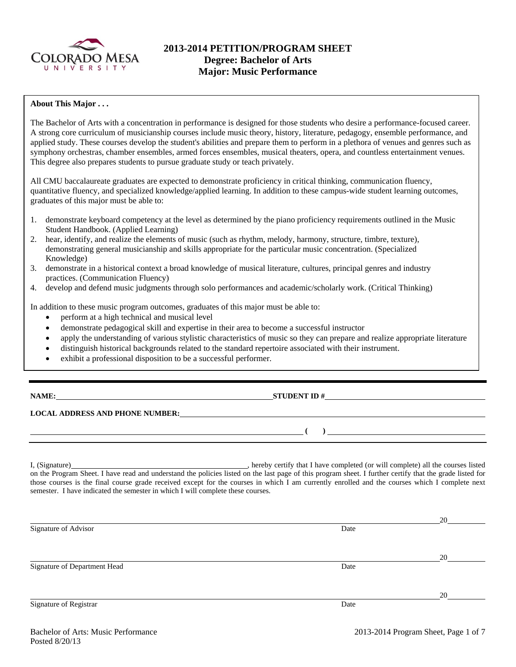

# **2013-2014 PETITION/PROGRAM SHEET Degree: Bachelor of Arts Major: Music Performance**

### **About This Major . . .**

The Bachelor of Arts with a concentration in performance is designed for those students who desire a performance-focused career. A strong core curriculum of musicianship courses include music theory, history, literature, pedagogy, ensemble performance, and applied study. These courses develop the student's abilities and prepare them to perform in a plethora of venues and genres such as symphony orchestras, chamber ensembles, armed forces ensembles, musical theaters, opera, and countless entertainment venues. This degree also prepares students to pursue graduate study or teach privately.

All CMU baccalaureate graduates are expected to demonstrate proficiency in critical thinking, communication fluency, quantitative fluency, and specialized knowledge/applied learning. In addition to these campus-wide student learning outcomes, graduates of this major must be able to:

- 1. demonstrate keyboard competency at the level as determined by the piano proficiency requirements outlined in the Music Student Handbook. (Applied Learning)
- 2. hear, identify, and realize the elements of music (such as rhythm, melody, harmony, structure, timbre, texture), demonstrating general musicianship and skills appropriate for the particular music concentration. (Specialized Knowledge)
- 3. demonstrate in a historical context a broad knowledge of musical literature, cultures, principal genres and industry practices. (Communication Fluency)
- 4. develop and defend music judgments through solo performances and academic/scholarly work. (Critical Thinking)

In addition to these music program outcomes, graduates of this major must be able to:

- perform at a high technical and musical level
- demonstrate pedagogical skill and expertise in their area to become a successful instructor
- apply the understanding of various stylistic characteristics of music so they can prepare and realize appropriate literature
- distinguish historical backgrounds related to the standard repertoire associated with their instrument.
- exhibit a professional disposition to be a successful performer.

# **NAME: STUDENT ID #**

### **LOCAL ADDRESS AND PHONE NUMBER:**

I, (Signature) , hereby certify that I have completed (or will complete) all the courses listed on the Program Sheet. I have read and understand the policies listed on the last page of this program sheet. I further certify that the grade listed for those courses is the final course grade received except for the courses in which I am currently enrolled and the courses which I complete next semester. I have indicated the semester in which I will complete these courses.

|                              |      | 20 |
|------------------------------|------|----|
| Signature of Advisor         | Date |    |
|                              |      |    |
|                              |      | 20 |
| Signature of Department Head | Date |    |
|                              |      |    |
|                              |      | 20 |
| Signature of Registrar       | Date |    |

 **( )**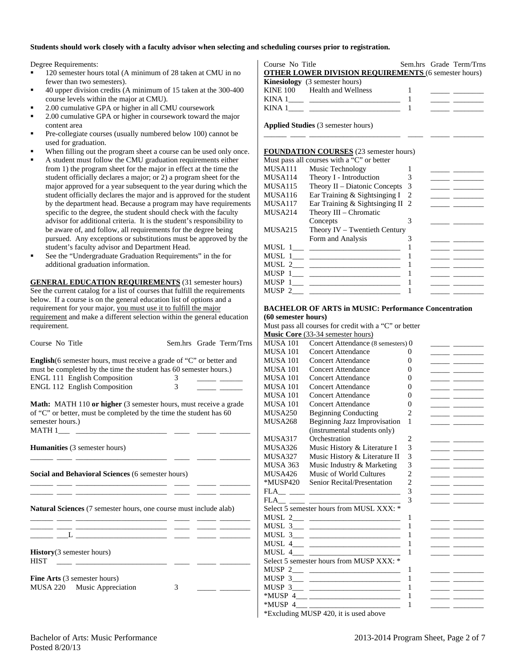#### **Students should work closely with a faculty advisor when selecting and scheduling courses prior to registration.**

Degree Requirements:

- <sup>120</sup> semester hours total (A minimum of 28 taken at CMU in no fewer than two semesters).
- 40 upper division credits (A minimum of 15 taken at the 300-400 course levels within the major at CMU).
- 2.00 cumulative GPA or higher in all CMU coursework
- 2.00 cumulative GPA or higher in coursework toward the major content area
- Pre-collegiate courses (usually numbered below 100) cannot be used for graduation.
- When filling out the program sheet a course can be used only once.
- A student must follow the CMU graduation requirements either from 1) the program sheet for the major in effect at the time the student officially declares a major; or 2) a program sheet for the major approved for a year subsequent to the year during which the student officially declares the major and is approved for the student by the department head. Because a program may have requirements specific to the degree, the student should check with the faculty advisor for additional criteria. It is the student's responsibility to be aware of, and follow, all requirements for the degree being pursued. Any exceptions or substitutions must be approved by the student's faculty advisor and Department Head.
- See the "Undergraduate Graduation Requirements" in the for additional graduation information.

**GENERAL EDUCATION REQUIREMENTS** (31 semester hours) See the current catalog for a list of courses that fulfill the requirements below. If a course is on the general education list of options and a requirement for your major, you must use it to fulfill the major requirement and make a different selection within the general education requirement.

| Course No Title                                                                                                                                                                                                                |        | Sem.hrs Grade Term/Trns |
|--------------------------------------------------------------------------------------------------------------------------------------------------------------------------------------------------------------------------------|--------|-------------------------|
| <b>English</b> (6 semester hours, must receive a grade of "C" or better and<br>must be completed by the time the student has 60 semester hours.)<br><b>ENGL 111 English Composition</b><br><b>ENGL 112 English Composition</b> | 3<br>3 |                         |
| <b>Math:</b> MATH 110 or higher (3 semester hours, must receive a grade<br>of "C" or better, must be completed by the time the student has 60<br>semester hours.)                                                              |        |                         |
| <b>Humanities</b> (3 semester hours)                                                                                                                                                                                           |        |                         |
| Social and Behavioral Sciences (6 semester hours)                                                                                                                                                                              |        |                         |
| <b>Natural Sciences</b> (7 semester hours, one course must include alab)                                                                                                                                                       |        |                         |
|                                                                                                                                                                                                                                |        |                         |

**History**(3 semester hours) HIST \_\_\_\_ \_\_\_\_\_\_\_\_\_\_\_\_\_\_\_\_\_\_\_\_\_\_\_\_ \_\_\_\_ \_\_\_\_\_ \_\_\_\_\_\_\_\_

**Fine Arts** (3 semester hours) MUSA 220 Music Appreciation 3

|                  | Sem.hrs Grade Term/Trns                                     |
|------------------|-------------------------------------------------------------|
|                  |                                                             |
|                  |                                                             |
|                  | the process of the control of the                           |
|                  |                                                             |
|                  |                                                             |
| KINA $1 \_$ $\_$ | <b>OTHER LOWER DIVISION REQUIREMENTS (6 semester hours)</b> |

\_\_\_\_\_\_ \_\_\_\_ \_\_\_\_\_\_\_\_\_\_\_\_\_\_\_\_\_\_\_\_\_\_\_\_ \_\_\_\_ \_\_\_\_\_ \_\_\_\_\_\_\_\_

**Applied Studies** (3 semester hours)

### **FOUNDATION COURSES** (23 semester hours)

|         | Must pass all courses with a "C" or better |     |  |
|---------|--------------------------------------------|-----|--|
| MUSA111 | Music Technology                           |     |  |
| MUSA114 | Theory I - Introduction                    |     |  |
| MUSA115 | Theory II – Diatonic Concepts              | - 3 |  |
| MUSA116 | Ear Training & Sightsinging I              | -2  |  |
| MUSA117 | Ear Training & Sightsinging II 2           |     |  |
| MUSA214 | Theory III – Chromatic                     |     |  |
|         | Concepts                                   |     |  |
| MUSA215 | Theory $IV - Tw$ entieth Century           |     |  |
|         | Form and Analysis                          |     |  |
|         |                                            |     |  |
|         | MUSL $1 \_$ $\_$                           |     |  |
|         |                                            |     |  |
|         |                                            |     |  |
|         |                                            |     |  |
| MUSP 2  |                                            |     |  |
|         |                                            |     |  |

#### **BACHELOR OF ARTS in MUSIC: Performance Concentration (60 semester hours)**

Must pass all courses for credit with a "C" or better **Music Core** (33-34 semester hours)

|                 | <b>NIUSIC COPE</b> (33-34 semester nours) |                |                                                                                                                                                                                                                                      |
|-----------------|-------------------------------------------|----------------|--------------------------------------------------------------------------------------------------------------------------------------------------------------------------------------------------------------------------------------|
| <b>MUSA 101</b> | Concert Attendance (8 semesters) 0        |                |                                                                                                                                                                                                                                      |
| <b>MUSA 101</b> | <b>Concert Attendance</b>                 | $\Omega$       |                                                                                                                                                                                                                                      |
| <b>MUSA 101</b> | <b>Concert Attendance</b>                 | $\Omega$       |                                                                                                                                                                                                                                      |
| <b>MUSA 101</b> | <b>Concert Attendance</b>                 | 0              |                                                                                                                                                                                                                                      |
| <b>MUSA 101</b> | <b>Concert Attendance</b>                 | 0              |                                                                                                                                                                                                                                      |
| <b>MUSA 101</b> | <b>Concert Attendance</b>                 | 0              |                                                                                                                                                                                                                                      |
| <b>MUSA 101</b> | <b>Concert Attendance</b>                 | 0              |                                                                                                                                                                                                                                      |
| <b>MUSA 101</b> | <b>Concert Attendance</b>                 | 0              |                                                                                                                                                                                                                                      |
| MUSA250         | <b>Beginning Conducting</b>               | $\overline{c}$ | <u> 1989 - John Barn Barn, mars and de la partie de la partie de la partie de la partie de la partie de la partie de la partie de la partie de la partie de la partie de la partie de la partie de la partie de la partie de la </u> |
| MUSA268         | <b>Beginning Jazz Improvisation</b>       | 1              |                                                                                                                                                                                                                                      |
|                 | (instrumental students only)              |                |                                                                                                                                                                                                                                      |
| MUSA317         | Orchestration                             | $\overline{c}$ |                                                                                                                                                                                                                                      |
| MUSA326         | Music History & Literature I              | 3              |                                                                                                                                                                                                                                      |
| MUSA327         | Music History & Literature II             | 3              | <u> 1989 - John Stone, amerikansk politiker (</u>                                                                                                                                                                                    |
| <b>MUSA 363</b> | Music Industry & Marketing                | 3              | <u> 1989 - John Stone, amerikansk politiker (</u>                                                                                                                                                                                    |
| MUSA426         | Music of World Cultures                   | $\overline{2}$ |                                                                                                                                                                                                                                      |
| *MUSP420        | Senior Recital/Presentation               | $\overline{2}$ |                                                                                                                                                                                                                                      |
|                 |                                           | 3              |                                                                                                                                                                                                                                      |
|                 |                                           | 3              | <u> De Carlos de Carlos de Carlos de Carlos de Carlos de Carlos de Carlos de Carlos de Carlos de Carlos de Carlos de Ca</u>                                                                                                          |
|                 | Select 5 semester hours from MUSL XXX: *  |                |                                                                                                                                                                                                                                      |
|                 | MUSL $2 \_$                               | 1              |                                                                                                                                                                                                                                      |
|                 |                                           | 1              |                                                                                                                                                                                                                                      |
|                 |                                           | 1              |                                                                                                                                                                                                                                      |
|                 |                                           | 1              |                                                                                                                                                                                                                                      |
|                 |                                           | 1              |                                                                                                                                                                                                                                      |
|                 | Select 5 semester hours from MUSP XXX: *  |                |                                                                                                                                                                                                                                      |
|                 | MUSP $2 \qquad \qquad$                    | 1              | <u> The Common School and The Common School and The Common School and The Common School and The Common School and</u>                                                                                                                |
|                 |                                           | 1              |                                                                                                                                                                                                                                      |
|                 |                                           | 1              |                                                                                                                                                                                                                                      |
|                 |                                           | 1              | <u> The Common School (1989)</u>                                                                                                                                                                                                     |
|                 | $\frac{1}{2}$                             | 1              |                                                                                                                                                                                                                                      |
|                 |                                           |                |                                                                                                                                                                                                                                      |

\*Excluding MUSP 420, it is used above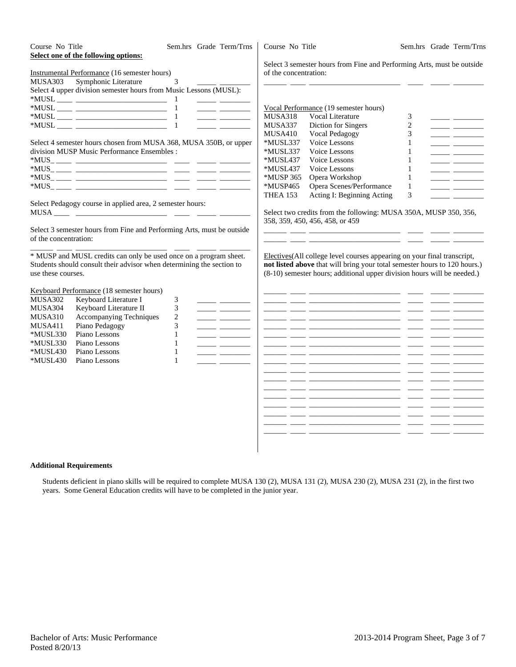| Course No Title<br><b>MUSA303</b>                                                        | Select one of the following options:<br><b>Instrumental Performance (16 semester hours)</b><br>Symphonic Literature<br>Select 4 upper division semester hours from Music Lessons (MUSL):                     | Sem.hrs Grade Term/Trns<br>3                                                                                                                                                                                                                                            | Course No Title<br>of the concentration:                                                                                         | Select 3 semester hours from Fine and Performing Arts, must be outside                                                                                                                                                                                                                                                                                                                                                                                                                                                                                                                                                                                                                                                                                                                                                                                                                                                                                                                  |                                                                                                                    | Sem.hrs Grade Term/Trns                                                                                                                                                                                                                                                                                                                                                                                                                                                                                                                                              |
|------------------------------------------------------------------------------------------|--------------------------------------------------------------------------------------------------------------------------------------------------------------------------------------------------------------|-------------------------------------------------------------------------------------------------------------------------------------------------------------------------------------------------------------------------------------------------------------------------|----------------------------------------------------------------------------------------------------------------------------------|-----------------------------------------------------------------------------------------------------------------------------------------------------------------------------------------------------------------------------------------------------------------------------------------------------------------------------------------------------------------------------------------------------------------------------------------------------------------------------------------------------------------------------------------------------------------------------------------------------------------------------------------------------------------------------------------------------------------------------------------------------------------------------------------------------------------------------------------------------------------------------------------------------------------------------------------------------------------------------------------|--------------------------------------------------------------------------------------------------------------------|----------------------------------------------------------------------------------------------------------------------------------------------------------------------------------------------------------------------------------------------------------------------------------------------------------------------------------------------------------------------------------------------------------------------------------------------------------------------------------------------------------------------------------------------------------------------|
|                                                                                          | Select 4 semester hours chosen from MUSA 368, MUSA 350B, or upper<br>division MUSP Music Performance Ensembles :                                                                                             | <u> The Common State State State State State State State State State State State State State State State State State State State State State State State State State State State State State State State State State State State</u><br><u> 1989 - Andrea Steinberg</u> | <b>MUSA318</b><br>MUSA337<br>MUSA410<br>*MUSL337<br>*MUSL337<br>*MUSL437<br>*MUSL437<br>*MUSP 365<br>*MUSP465<br><b>THEA 153</b> | Vocal Performance (19 semester hours)<br>Vocal Literature<br>Diction for Singers<br><b>Vocal Pedagogy</b><br>Voice Lessons<br>Voice Lessons<br>Voice Lessons<br>Voice Lessons<br>Opera Workshop<br>Opera Scenes/Performance<br>Acting I: Beginning Acting                                                                                                                                                                                                                                                                                                                                                                                                                                                                                                                                                                                                                                                                                                                               | 3<br>$\overline{c}$<br>3<br>$\mathbf{1}$<br>$\mathbf{1}$<br>1<br>$\mathbf{1}$<br>$\mathbf{1}$<br>$\mathbf{1}$<br>3 | <u>and the state</u><br><u> The Common State State State State State State State State State State State State State State State State State State State State State State State State State State State State State State State State State State State</u><br><u> 1989 - John Barn Barn, amerikansk politiker (</u><br><u> 1989 - Jan Barnett, politik e</u><br><u> 1989 - John Barn Barn, amerikansk politiker (</u><br>______ __________<br><u> 1999 - Jan Barbara Barat, prima prima prima prima prima prima prima prima prima prima prima prima prima prim</u> |
| of the concentration:                                                                    | Select Pedagogy course in applied area, 2 semester hours:<br>Select 3 semester hours from Fine and Performing Arts, must be outside                                                                          |                                                                                                                                                                                                                                                                         |                                                                                                                                  | Select two credits from the following: MUSA 350A, MUSP 350, 356,<br>358, 359, 450, 456, 458, or 459                                                                                                                                                                                                                                                                                                                                                                                                                                                                                                                                                                                                                                                                                                                                                                                                                                                                                     |                                                                                                                    |                                                                                                                                                                                                                                                                                                                                                                                                                                                                                                                                                                      |
| use these courses.                                                                       | * MUSP and MUSL credits can only be used once on a program sheet.<br>Students should consult their advisor when determining the section to                                                                   |                                                                                                                                                                                                                                                                         |                                                                                                                                  | Electives (All college level courses appearing on your final transcript,<br>not listed above that will bring your total semester hours to 120 hours.)<br>(8-10) semester hours; additional upper division hours will be needed.)                                                                                                                                                                                                                                                                                                                                                                                                                                                                                                                                                                                                                                                                                                                                                        |                                                                                                                    |                                                                                                                                                                                                                                                                                                                                                                                                                                                                                                                                                                      |
| MUSA302<br>MUSA304<br>MUSA310<br>MUSA411<br>*MUSL330<br>*MUSL330<br>*MUSL430<br>*MUSL430 | Keyboard Performance (18 semester hours)<br>Keyboard Literature I<br>Keyboard Literature II<br>Accompanying Techniques<br>Piano Pedagogy<br>Piano Lessons<br>Piano Lessons<br>Piano Lessons<br>Piano Lessons | 3<br><u> 1989 - John Barn Barn, mars a</u><br>3<br><u> 1989 - John Barn Barn, mars a</u><br>$\overline{c}$<br>3<br>$\mathbf{1}$<br>$\mathbf{1}$<br>$\mathbf{1}$<br>$\mathbf{1}$                                                                                         | __                                                                                                                               | <u> 1999 - John Harrison, mars ann an 1999 - 1999 - 1999 - 1999 - 1999 - 1999 - 1999 - 1999 - 1999 - 1999 - 1999 - 1999 - 1999 - 1999 - 1999 - 1999 - 1999 - 1999 - 1999 - 1999 - 1999 - 1999 - 1999 - 1999 - 1999 - 1999 - 1999</u><br><u> 1999 - John Harrison, mars ann an 1998 - 1999 - 1999 - 1999 - 1999 - 1999 - 1999 - 1999 - 1999 - 1999 - 1999 - </u><br><u> 2000 - 2000 - 2000 - 2000 - 2000 - 2000 - 2000 - 2000 - 2000 - 2000 - 2000 - 2000 - 2000 - 2000 - 2000 - 200</u><br><u> 2000 - 2000 - 2000 - 2000 - 2000 - 2000 - 2000 - 2000 - 2000 - 2000 - 2000 - 2000 - 2000 - 2000 - 2000 - 200</u><br><u> 2000 - 2000 - 2000 - 2000 - 2000 - 2000 - 2000 - 2000 - 2000 - 2000 - 2000 - 2000 - 2000 - 2000 - 2000 - 200</u><br><u> 2000 - 2000 - 2000 - 2000 - 2000 - 2000 - 2000 - 2000 - 2000 - 2000 - 2000 - 2000 - 2000 - 2000 - 2000 - 200</u><br><u> 22 januari - Januari Sarah, menyakan pendadi pendadi pendadi pendadi pendadi pendadi pendadi pendadi pendadi</u> | $\sim$                                                                                                             |                                                                                                                                                                                                                                                                                                                                                                                                                                                                                                                                                                      |

### **Additional Requirements**

Students deficient in piano skills will be required to complete MUSA 130 (2), MUSA 131 (2), MUSA 230 (2), MUSA 231 (2), in the first two years. Some General Education credits will have to be completed in the junior year.

\_\_\_\_\_\_ \_\_\_\_ \_\_\_\_\_\_\_\_\_\_\_\_\_\_\_\_\_\_\_\_\_\_\_\_ \_\_\_\_ \_\_\_\_\_ \_\_\_\_\_\_\_\_ \_\_\_\_\_\_ \_\_\_\_ \_\_\_\_\_\_\_\_\_\_\_\_\_\_\_\_\_\_\_\_\_\_\_\_ \_\_\_\_ \_\_\_\_\_ \_\_\_\_\_\_\_\_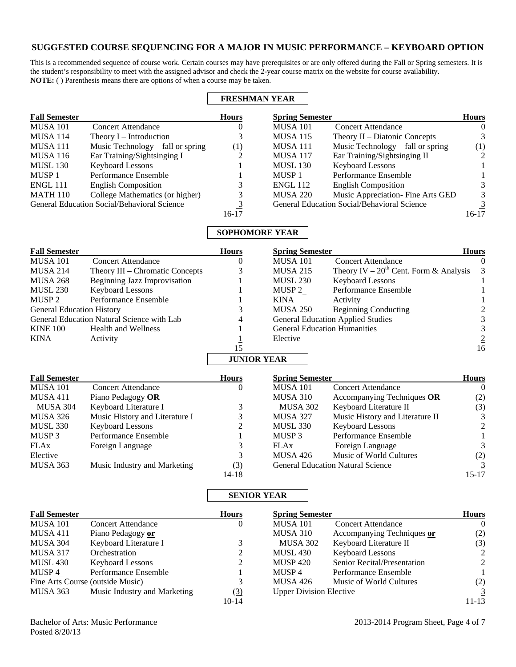# **SUGGESTED COURSE SEQUENCING FOR A MAJOR IN MUSIC PERFORMANCE – KEYBOARD OPTION**

This is a recommended sequence of course work. Certain courses may have prerequisites or are only offered during the Fall or Spring semesters. It is the student's responsibility to meet with the assigned advisor and check the 2-year course matrix on the website for course availability. **NOTE:** ( ) Parenthesis means there are options of when a course may be taken.

 $\overline{\phantom{0}}$ 

|                      |                                                    |              | <b>FRESHMAN YEAR</b>   |                                             |              |
|----------------------|----------------------------------------------------|--------------|------------------------|---------------------------------------------|--------------|
| <b>Fall Semester</b> |                                                    | <b>Hours</b> | <b>Spring Semester</b> |                                             | <b>Hours</b> |
| <b>MUSA 101</b>      | Concert Attendance                                 | O            | <b>MUSA 101</b>        | Concert Attendance                          | $\theta$     |
| <b>MUSA 114</b>      | Theory $I$ – Introduction                          | 3            | <b>MUSA 115</b>        | Theory II – Diatonic Concepts               | 3            |
| MUSA 111             | Music Technology – fall or spring                  | (1)          | <b>MUSA 111</b>        | Music Technology – fall or spring           | (1)          |
| <b>MUSA 116</b>      | Ear Training/Sightsinging I                        |              | <b>MUSA 117</b>        | Ear Training/Sightsinging II                | 2            |
| <b>MUSL 130</b>      | <b>Keyboard Lessons</b>                            |              | <b>MUSL 130</b>        | <b>Keyboard Lessons</b>                     |              |
| MUSP 1               | Performance Ensemble                               |              | MUSP 1                 | Performance Ensemble                        |              |
| <b>ENGL 111</b>      | <b>English Composition</b>                         |              | <b>ENGL 112</b>        | <b>English Composition</b>                  |              |
| <b>MATH 110</b>      | College Mathematics (or higher)                    | 3            | <b>MUSA 220</b>        | Music Appreciation- Fine Arts GED           | 3            |
|                      | <b>General Education Social/Behavioral Science</b> | 3            |                        | General Education Social/Behavioral Science | 3            |
|                      |                                                    | 16-17        |                        |                                             | 16-17        |

## **SOPHOMORE YEAR**

| <b>Fall Semester</b>             |                                            | <b>Hours</b>       | <b>Spring Semester</b> |                                             | <b>Hours</b>            |
|----------------------------------|--------------------------------------------|--------------------|------------------------|---------------------------------------------|-------------------------|
| <b>MUSA 101</b>                  | <b>Concert Attendance</b>                  | $\theta$           | <b>MUSA 101</b>        | <b>Concert Attendance</b>                   | $\theta$                |
| <b>MUSA 214</b>                  | Theory III – Chromatic Concepts            | 3                  | <b>MUSA 215</b>        | Theory IV – $20^{th}$ Cent. Form & Analysis | $\overline{\mathbf{3}}$ |
| <b>MUSA 268</b>                  | <b>Beginning Jazz Improvisation</b>        |                    | <b>MUSL 230</b>        | <b>Keyboard Lessons</b>                     |                         |
| <b>MUSL 230</b>                  | <b>Keyboard Lessons</b>                    |                    | MUSP 2                 | Performance Ensemble                        |                         |
| MUSP 2                           | Performance Ensemble                       |                    | <b>KINA</b>            | Activity                                    |                         |
| <b>General Education History</b> |                                            |                    | MUSA 250               | <b>Beginning Conducting</b>                 |                         |
|                                  | General Education Natural Science with Lab | 4                  |                        | <b>General Education Applied Studies</b>    |                         |
| <b>KINE 100</b>                  | Health and Wellness                        |                    |                        | <b>General Education Humanities</b>         |                         |
| <b>KINA</b>                      | Activity                                   |                    | Elective               |                                             |                         |
|                                  |                                            | 15                 |                        |                                             | 16                      |
|                                  |                                            | <b>JUNIOR YEAR</b> |                        |                                             |                         |

| <b>Fall Semester</b> |                                | <b>Hours</b> | <b>Spring Semester</b> |                                          | <b>Hours</b>   |
|----------------------|--------------------------------|--------------|------------------------|------------------------------------------|----------------|
| <b>MUSA 101</b>      | <b>Concert Attendance</b>      | $\theta$     | <b>MUSA 101</b>        | <b>Concert Attendance</b>                | $\left($       |
| <b>MUSA 411</b>      | Piano Pedagogy OR              |              | <b>MUSA 310</b>        | Accompanying Techniques OR               | (2)            |
| <b>MUSA 304</b>      | Keyboard Literature I          |              | <b>MUSA 302</b>        | Keyboard Literature II                   | (3)            |
| MUSA 326             | Music History and Literature I |              | <b>MUSA 327</b>        | Music History and Literature II          | 3              |
| <b>MUSL 330</b>      | <b>Keyboard Lessons</b>        |              | <b>MUSL 330</b>        | <b>Keyboard Lessons</b>                  | $\mathcal{L}$  |
| MUSP 3               | Performance Ensemble           |              | MUSP 3                 | Performance Ensemble                     |                |
| <b>FLAx</b>          | Foreign Language               |              | <b>FLAx</b>            | Foreign Language                         | 3              |
| Elective             |                                |              | <b>MUSA 426</b>        | Music of World Cultures                  | (2)            |
| <b>MUSA 363</b>      | Music Industry and Marketing   | (3)          |                        | <b>General Education Natural Science</b> | $\overline{3}$ |
|                      |                                | $14 - 18$    |                        |                                          | $15 - 17$      |

## **SENIOR YEAR**

| <b>Fall Semester</b>             |                              | <b>Hours</b> |                                | <b>Spring Semester</b>      |                |
|----------------------------------|------------------------------|--------------|--------------------------------|-----------------------------|----------------|
| <b>MUSA 101</b>                  | <b>Concert Attendance</b>    | O            | <b>MUSA 101</b>                | <b>Concert Attendance</b>   | $\Omega$       |
| <b>MUSA 411</b>                  | Piano Pedagogy or            |              | <b>MUSA 310</b>                | Accompanying Techniques or  | (2)            |
| <b>MUSA 304</b>                  | Keyboard Literature I        |              | <b>MUSA 302</b>                | Keyboard Literature II      | (3)            |
| <b>MUSA 317</b>                  | Orchestration                | 2            | <b>MUSL 430</b>                | <b>Keyboard Lessons</b>     | $2^{\circ}$    |
| <b>MUSL 430</b>                  | <b>Keyboard Lessons</b>      | 2            | <b>MUSP 420</b>                | Senior Recital/Presentation | $2^{\circ}$    |
| MUSP 4                           | Performance Ensemble         |              | MUSP 4                         | Performance Ensemble        |                |
| Fine Arts Course (outside Music) |                              | 3            | <b>MUSA 426</b>                | Music of World Cultures     | (2)            |
| MUSA 363                         | Music Industry and Marketing | (3)          | <b>Upper Division Elective</b> |                             | $\overline{3}$ |
|                                  |                              | $10 - 14$    |                                |                             | 11-13          |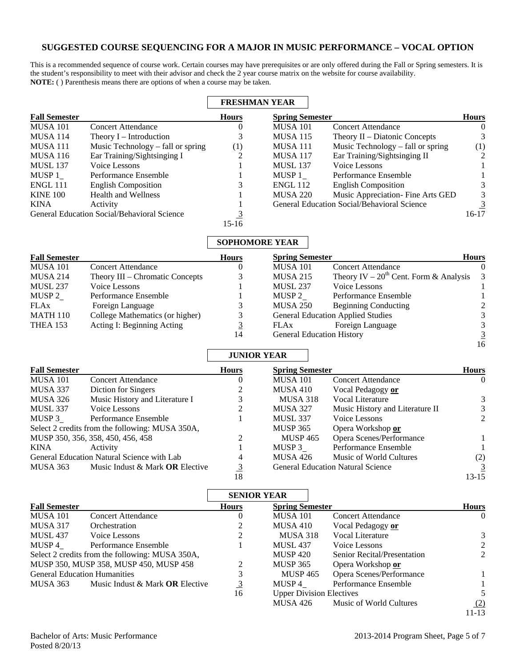## **SUGGESTED COURSE SEQUENCING FOR A MAJOR IN MUSIC PERFORMANCE – VOCAL OPTION**

This is a recommended sequence of course work. Certain courses may have prerequisites or are only offered during the Fall or Spring semesters. It is the student's responsibility to meet with their advisor and check the 2 year course matrix on the website for course availability. **NOTE:** ( ) Parenthesis means there are options of when a course may be taken.

|                      |                                             | <b>FRESHMAN YEAR</b> |                        |                                             |                |
|----------------------|---------------------------------------------|----------------------|------------------------|---------------------------------------------|----------------|
| <b>Fall Semester</b> |                                             | <b>Hours</b>         | <b>Spring Semester</b> |                                             | <b>Hours</b>   |
| <b>MUSA 101</b>      | Concert Attendance                          | v                    | <b>MUSA 101</b>        | <b>Concert Attendance</b>                   | $\theta$       |
| <b>MUSA 114</b>      | Theory $I$ – Introduction                   | 3                    | <b>MUSA 115</b>        | Theory $II$ – Diatonic Concepts             | 3.             |
| <b>MUSA 111</b>      | Music Technology – fall or spring           | (1)                  | <b>MUSA 111</b>        | Music Technology – fall or spring           | (1)            |
| <b>MUSA 116</b>      | Ear Training/Sightsinging I                 |                      | <b>MUSA 117</b>        | Ear Training/Sightsinging II                | 2              |
| <b>MUSL 137</b>      | Voice Lessons                               |                      | <b>MUSL 137</b>        | Voice Lessons                               |                |
| MUSP 1               | Performance Ensemble                        |                      | MUSP 1                 | Performance Ensemble                        |                |
| <b>ENGL 111</b>      | <b>English Composition</b>                  |                      | <b>ENGL 112</b>        | <b>English Composition</b>                  | 3              |
| <b>KINE 100</b>      | <b>Health and Wellness</b>                  |                      | <b>MUSA 220</b>        | Music Appreciation- Fine Arts GED           | 3.             |
| <b>KINA</b>          | Activity                                    |                      |                        | General Education Social/Behavioral Science | $\overline{3}$ |
|                      | General Education Social/Behavioral Science |                      |                        |                                             | $16-17$        |
|                      |                                             | $15-16$              |                        |                                             |                |

# **SOPHOMORE YEAR**

| <b>Fall Semester</b> |                                 | <b>Hours</b> | <b>Spring Semester</b>                   |                                               | <b>Hours</b>  |
|----------------------|---------------------------------|--------------|------------------------------------------|-----------------------------------------------|---------------|
| <b>MUSA 101</b>      | <b>Concert Attendance</b>       |              | <b>MUSA 101</b>                          | <b>Concert Attendance</b>                     | 0             |
| <b>MUSA 214</b>      | Theory III – Chromatic Concepts | 3            | <b>MUSA 215</b>                          | Theory IV – $20^{th}$ Cent. Form & Analysis 3 |               |
| <b>MUSL 237</b>      | Voice Lessons                   |              | <b>MUSL 237</b>                          | Voice Lessons                                 |               |
| MUSP 2               | Performance Ensemble            |              | MUSP 2                                   | Performance Ensemble                          |               |
| FLAx                 | Foreign Language                |              | <b>MUSA 250</b>                          | <b>Beginning Conducting</b>                   | $\mathcal{L}$ |
| <b>MATH 110</b>      | College Mathematics (or higher) |              | <b>General Education Applied Studies</b> |                                               |               |
| <b>THEA 153</b>      | Acting I: Beginning Acting      |              | FLAx                                     | Foreign Language                              | 3             |
|                      |                                 | 14           | <b>General Education History</b>         |                                               | 3             |

## **JUNIOR YEAR**

| <b>Fall Semester</b>                            |                                   | <b>Hours</b>   | <b>Spring Semester</b> |                                          |               |
|-------------------------------------------------|-----------------------------------|----------------|------------------------|------------------------------------------|---------------|
| <b>MUSA 101</b>                                 | <b>Concert Attendance</b>         | O              | <b>MUSA 101</b>        | <b>Concert Attendance</b>                | $\left($      |
| MUSA 337                                        | Diction for Singers               |                | MUSA 410               | Vocal Pedagogy or                        |               |
| <b>MUSA 326</b>                                 | Music History and Literature I    |                | <b>MUSA 318</b>        | Vocal Literature                         | 3             |
| <b>MUSL 337</b>                                 | Voice Lessons                     |                | <b>MUSA 327</b>        | Music History and Literature II          | 3             |
| MUSP 3                                          | Performance Ensemble              |                | <b>MUSL 337</b>        | Voice Lessons                            | $\mathcal{L}$ |
| Select 2 credits from the following: MUSA 350A, |                                   |                | <b>MUSP 365</b>        | Opera Workshop or                        |               |
| MUSP 350, 356, 358, 450, 456, 458               |                                   |                | <b>MUSP 465</b>        | Opera Scenes/Performance                 |               |
| KINA                                            | Activity                          |                | MUSP 3                 | Performance Ensemble                     |               |
| General Education Natural Science with Lab      |                                   | 4              | <b>MUSA 426</b>        | Music of World Cultures                  | (2)           |
| MUSA 363                                        | Music Indust & Mark $OR$ Elective | $\overline{3}$ |                        | <b>General Education Natural Science</b> | 3             |
|                                                 |                                   | 18             |                        |                                          | 13-15         |

|                                                 |                                 |                | <b>SENIOR YEAR</b>              |                             |                |
|-------------------------------------------------|---------------------------------|----------------|---------------------------------|-----------------------------|----------------|
| <b>Fall Semester</b>                            |                                 | <b>Hours</b>   | <b>Spring Semester</b>          |                             | <b>Hours</b>   |
| <b>MUSA 101</b>                                 | <b>Concert Attendance</b>       | $\theta$       | <b>MUSA 101</b>                 | <b>Concert Attendance</b>   | $\theta$       |
| <b>MUSA 317</b>                                 | Orchestration                   |                | MUSA 410                        | Vocal Pedagogy or           |                |
| <b>MUSL 437</b>                                 | Voice Lessons                   |                | <b>MUSA 318</b>                 | Vocal Literature            | 3              |
| MUSP 4                                          | Performance Ensemble            |                | <b>MUSL 437</b>                 | Voice Lessons               | $\mathfrak{D}$ |
| Select 2 credits from the following: MUSA 350A, |                                 |                | <b>MUSP 420</b>                 | Senior Recital/Presentation | $\mathcal{L}$  |
| MUSP 350, MUSP 358, MUSP 450, MUSP 458          |                                 |                | <b>MUSP 365</b>                 | Opera Workshop or           |                |
| <b>General Education Humanities</b>             |                                 | 3              | <b>MUSP 465</b>                 | Opera Scenes/Performance    |                |
| MUSA 363                                        | Music Indust & Mark OR Elective | $\overline{3}$ | MUSP 4                          | Performance Ensemble        |                |
|                                                 |                                 | 16             | <b>Upper Division Electives</b> |                             | 5.             |
|                                                 |                                 |                | MUSA 426                        | Music of World Cultures     | (2)            |

11-13

16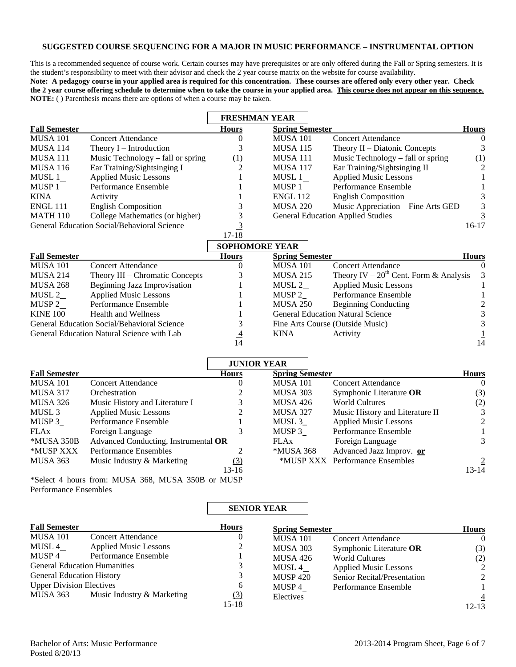## **SUGGESTED COURSE SEQUENCING FOR A MAJOR IN MUSIC PERFORMANCE – INSTRUMENTAL OPTION**

This is a recommended sequence of course work. Certain courses may have prerequisites or are only offered during the Fall or Spring semesters. It is the student's responsibility to meet with their advisor and check the 2 year course matrix on the website for course availability.

**Note: A pedagogy course in your applied area is required for this concentration. These courses are offered only every other year. Check the 2 year course offering schedule to determine when to take the course in your applied area. This course does not appear on this sequence. NOTE:** ( ) Parenthesis means there are options of when a course may be taken.

|                                             |                                   | <b>FRESHMAN YEAR</b>         |                        |                                          |                |
|---------------------------------------------|-----------------------------------|------------------------------|------------------------|------------------------------------------|----------------|
| <b>Fall Semester</b>                        |                                   | <b>Hours</b>                 | <b>Spring Semester</b> |                                          | <b>Hours</b>   |
| MUSA 101                                    | <b>Concert Attendance</b>         |                              | <b>MUSA 101</b>        | <b>Concert Attendance</b>                | $\theta$       |
| MUSA 114                                    | Theory I – Introduction           |                              | <b>MUSA 115</b>        | Theory $II$ – Diatonic Concepts          |                |
| MUSA 111                                    | Music Technology – fall or spring | (1)                          | <b>MUSA 111</b>        | Music Technology – fall or spring        | (1)            |
| MUSA 116                                    | Ear Training/Sightsinging I       |                              | <b>MUSA 117</b>        | Ear Training/Sightsinging II             | 2              |
| MUSL 1                                      | <b>Applied Music Lessons</b>      |                              | MUSL 1                 | <b>Applied Music Lessons</b>             |                |
| MUSP 1                                      | Performance Ensemble              |                              | MUSP 1                 | Performance Ensemble                     |                |
| KINA                                        | Activity                          |                              | <b>ENGL 112</b>        | <b>English Composition</b>               | 3              |
| ENGL 111                                    | <b>English Composition</b>        |                              | <b>MUSA 220</b>        | Music Appreciation - Fine Arts GED       | 3              |
| MATH 110                                    | College Mathematics (or higher)   |                              |                        | <b>General Education Applied Studies</b> | $\overline{3}$ |
| General Education Social/Behavioral Science |                                   |                              |                        |                                          | $16-17$        |
|                                             |                                   | $17-18$                      |                        |                                          |                |
|                                             |                                   | $\alpha$ anitan Lanti Yiri d |                        |                                          |                |

|                                             |                                 | SOPHOMORE YEAR |                        |                                               |                |
|---------------------------------------------|---------------------------------|----------------|------------------------|-----------------------------------------------|----------------|
| <b>Fall Semester</b>                        |                                 | <b>Hours</b>   | <b>Spring Semester</b> |                                               | <b>Hours</b>   |
| <b>MUSA 101</b>                             | <b>Concert Attendance</b>       | U              | <b>MUSA 101</b>        | <b>Concert Attendance</b>                     | 0              |
| MUSA 214                                    | Theory III – Chromatic Concepts |                | <b>MUSA 215</b>        | Theory IV – $20^{th}$ Cent. Form & Analysis 3 |                |
| <b>MUSA 268</b>                             | Beginning Jazz Improvisation    |                | MUSL 2                 | <b>Applied Music Lessons</b>                  |                |
| MUSL 2                                      | <b>Applied Music Lessons</b>    |                | MUSP 2                 | Performance Ensemble                          |                |
| MUSP 2                                      | Performance Ensemble            |                | <b>MUSA 250</b>        | <b>Beginning Conducting</b>                   | $\mathfrak{D}$ |
| <b>KINE 100</b>                             | <b>Health and Wellness</b>      |                |                        | <b>General Education Natural Science</b>      |                |
| General Education Social/Behavioral Science |                                 |                |                        | Fine Arts Course (Outside Music)              | 3              |
| General Education Natural Science with Lab  |                                 | $\overline{4}$ | KINA                   | Activity                                      |                |
|                                             |                                 | 14             |                        |                                               | 14             |

|                      |                                                  | <b>JUNIOR YEAR</b> |                         |                                 |                |  |
|----------------------|--------------------------------------------------|--------------------|-------------------------|---------------------------------|----------------|--|
| <b>Fall Semester</b> |                                                  | <b>Hours</b>       | <b>Spring Semester</b>  |                                 | <b>Hours</b>   |  |
| <b>MUSA 101</b>      | <b>Concert Attendance</b>                        | O                  | <b>MUSA 101</b>         | <b>Concert Attendance</b>       | $\Omega$       |  |
| <b>MUSA 317</b>      | Orchestration                                    |                    | MUSA 303                | Symphonic Literature OR         | (3)            |  |
| MUSA 326             | Music History and Literature I                   | 3                  | MUSA 426                | World Cultures                  | (2)            |  |
| MUSL $3$             | <b>Applied Music Lessons</b>                     |                    | <b>MUSA 327</b>         | Music History and Literature II | 3              |  |
| MUSP 3               | Performance Ensemble                             |                    | MUSL 3                  | <b>Applied Music Lessons</b>    | 2              |  |
| <b>FLAx</b>          | Foreign Language                                 |                    | MUSP 3                  | Performance Ensemble            |                |  |
| *MUSA 350B           | Advanced Conducting, Instrumental OR             |                    | <b>FLAx</b>             | Foreign Language                | 3              |  |
| *MUSP XXX            | <b>Performance Ensembles</b>                     |                    | <i><b>*MUSA 368</b></i> | Advanced Jazz Improv. or        |                |  |
| MUSA 363             | Music Industry & Marketing                       | <u>(3)</u>         |                         | *MUSP XXX Performance Ensembles | $\overline{2}$ |  |
|                      |                                                  | 13-16              |                         |                                 | $13 - 14$      |  |
|                      | *Select 4 hours from: MUSA 368 MUSA 350B or MUSP |                    |                         |                                 |                |  |

\*Select 4 hours from: MUSA 368, MUSA 350B or MUSP Performance Ensembles

## **SENIOR YEAR**

| <b>Fall Semester</b>                |                              | <b>Hours</b> | <b>Spring Semester</b> |                              | <b>Hours</b>   |
|-------------------------------------|------------------------------|--------------|------------------------|------------------------------|----------------|
| <b>MUSA 101</b>                     | <b>Concert Attendance</b>    | U            | <b>MUSA 101</b>        | <b>Concert Attendance</b>    | $\Omega$       |
| MUSL 4                              | <b>Applied Music Lessons</b> | 2            | <b>MUSA 303</b>        | Symphonic Literature OR      | (3)            |
| MUSP 4                              | Performance Ensemble         |              | <b>MUSA 426</b>        | <b>World Cultures</b>        | (2)            |
| <b>General Education Humanities</b> |                              |              | MUSL 4                 | <b>Applied Music Lessons</b> | 2              |
| <b>General Education History</b>    |                              | 3            | <b>MUSP 420</b>        | Senior Recital/Presentation  | 2              |
| <b>Upper Division Electives</b>     |                              | 6            | MUSP 4                 | Performance Ensemble         |                |
| MUSA 363                            | Music Industry & Marketing   | <u>(3)</u>   | Electives              |                              | $\overline{4}$ |
|                                     |                              | $15 - 18$    |                        |                              | $12 - 13$      |